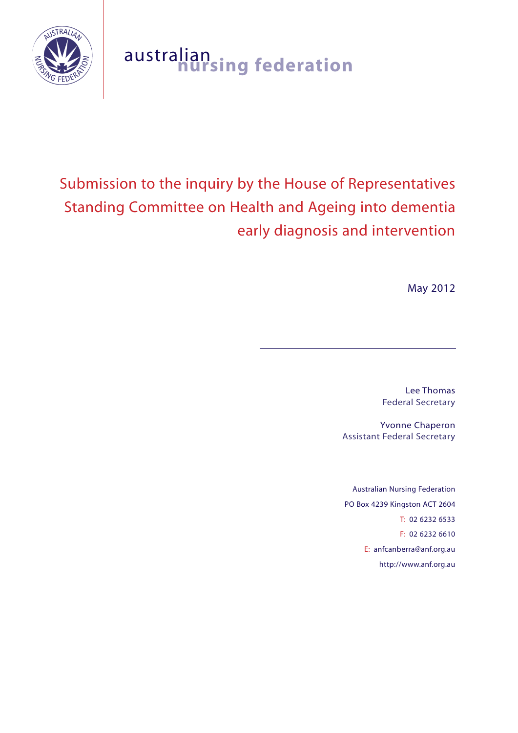

# australian **nursing federation**

# Submission to the inquiry by the House of Representatives Standing Committee on Health and Ageing into dementia early diagnosis and intervention

May 2012

Lee Thomas Federal Secretary

Yvonne Chaperon Assistant Federal Secretary

Australian Nursing Federation PO Box 4239 Kingston ACT 2604 T: 02 6232 6533 F: 02 6232 6610 E: anfcanberra@anf.org.au http://www.anf.org.au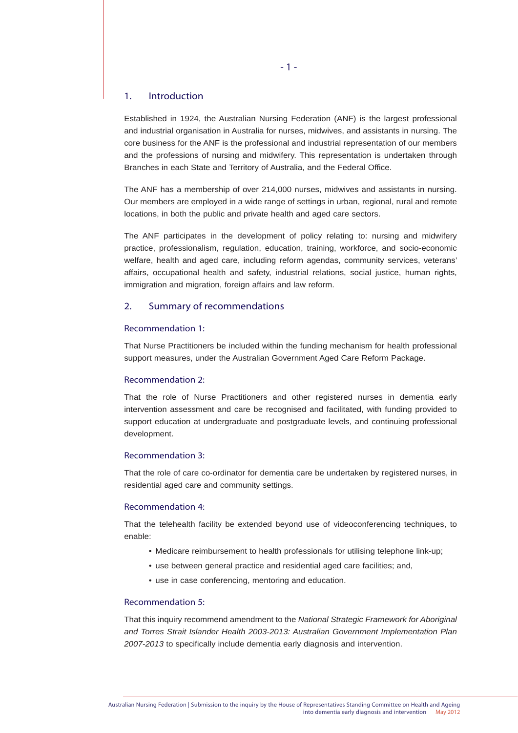# 1. Introduction

Established in 1924, the Australian Nursing Federation (ANF) is the largest professional and industrial organisation in Australia for nurses, midwives, and assistants in nursing. The core business for the ANF is the professional and industrial representation of our members and the professions of nursing and midwifery. This representation is undertaken through Branches in each State and Territory of Australia, and the Federal Office.

The ANF has a membership of over 214,000 nurses, midwives and assistants in nursing. Our members are employed in a wide range of settings in urban, regional, rural and remote locations, in both the public and private health and aged care sectors.

The ANF participates in the development of policy relating to: nursing and midwifery practice, professionalism, regulation, education, training, workforce, and socio-economic welfare, health and aged care, including reform agendas, community services, veterans' affairs, occupational health and safety, industrial relations, social justice, human rights, immigration and migration, foreign affairs and law reform.

#### 2. Summary of recommendations

#### Recommendation 1:

That Nurse Practitioners be included within the funding mechanism for health professional support measures, under the Australian Government Aged Care Reform Package.

#### Recommendation 2:

That the role of Nurse Practitioners and other registered nurses in dementia early intervention assessment and care be recognised and facilitated, with funding provided to support education at undergraduate and postgraduate levels, and continuing professional development.

#### Recommendation 3:

That the role of care co-ordinator for dementia care be undertaken by registered nurses, in residential aged care and community settings.

#### Recommendation 4:

That the telehealth facility be extended beyond use of videoconferencing techniques, to enable:

- Medicare reimbursement to health professionals for utilising telephone link-up;
- use between general practice and residential aged care facilities; and,
- use in case conferencing, mentoring and education.

#### Recommendation 5:

That this inquiry recommend amendment to the *National Strategic Framework for Aboriginal and Torres Strait Islander Health 2003-2013: Australian Government Implementation Plan 2007-2013* to specifically include dementia early diagnosis and intervention.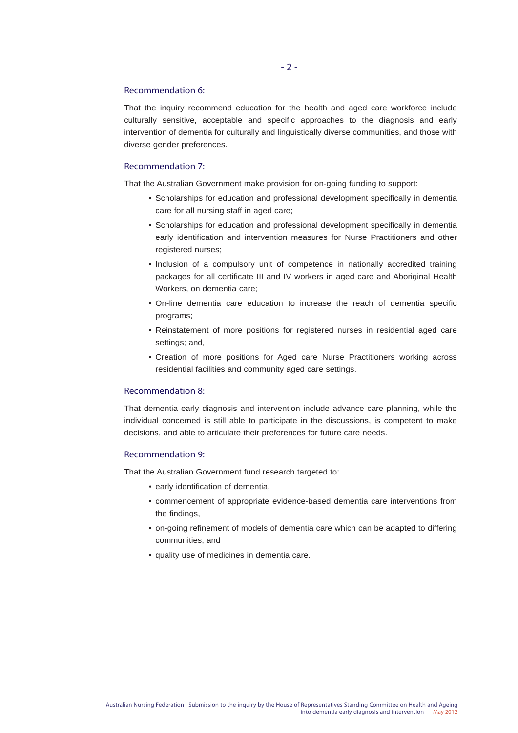#### Recommendation 6:

That the inquiry recommend education for the health and aged care workforce include culturally sensitive, acceptable and specific approaches to the diagnosis and early intervention of dementia for culturally and linguistically diverse communities, and those with diverse gender preferences.

# Recommendation 7:

That the Australian Government make provision for on-going funding to support:

- Scholarships for education and professional development specifically in dementia care for all nursing staff in aged care;
- Scholarships for education and professional development specifically in dementia early identification and intervention measures for Nurse Practitioners and other registered nurses;
- Inclusion of a compulsory unit of competence in nationally accredited training packages for all certificate III and IV workers in aged care and Aboriginal Health Workers, on dementia care;
- On-line dementia care education to increase the reach of dementia specific programs;
- Reinstatement of more positions for registered nurses in residential aged care settings; and,
- Creation of more positions for Aged care Nurse Practitioners working across residential facilities and community aged care settings.

#### Recommendation 8:

That dementia early diagnosis and intervention include advance care planning, while the individual concerned is still able to participate in the discussions, is competent to make decisions, and able to articulate their preferences for future care needs.

#### Recommendation 9:

That the Australian Government fund research targeted to:

- early identification of dementia,
- commencement of appropriate evidence-based dementia care interventions from the findings,
- on-going refinement of models of dementia care which can be adapted to differing communities, and
- quality use of medicines in dementia care.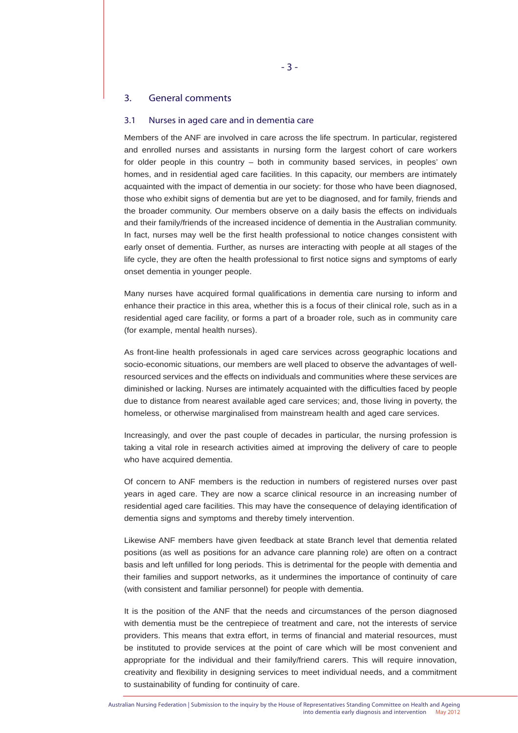#### 3. General comments

#### 3.1 Nurses in aged care and in dementia care

Members of the ANF are involved in care across the life spectrum. In particular, registered and enrolled nurses and assistants in nursing form the largest cohort of care workers for older people in this country – both in community based services, in peoples' own homes, and in residential aged care facilities. In this capacity, our members are intimately acquainted with the impact of dementia in our society: for those who have been diagnosed, those who exhibit signs of dementia but are yet to be diagnosed, and for family, friends and the broader community. Our members observe on a daily basis the effects on individuals and their family/friends of the increased incidence of dementia in the Australian community. In fact, nurses may well be the first health professional to notice changes consistent with early onset of dementia. Further, as nurses are interacting with people at all stages of the life cycle, they are often the health professional to first notice signs and symptoms of early onset dementia in younger people.

Many nurses have acquired formal qualifications in dementia care nursing to inform and enhance their practice in this area, whether this is a focus of their clinical role, such as in a residential aged care facility, or forms a part of a broader role, such as in community care (for example, mental health nurses).

As front-line health professionals in aged care services across geographic locations and socio-economic situations, our members are well placed to observe the advantages of wellresourced services and the effects on individuals and communities where these services are diminished or lacking. Nurses are intimately acquainted with the difficulties faced by people due to distance from nearest available aged care services; and, those living in poverty, the homeless, or otherwise marginalised from mainstream health and aged care services.

Increasingly, and over the past couple of decades in particular, the nursing profession is taking a vital role in research activities aimed at improving the delivery of care to people who have acquired dementia.

Of concern to ANF members is the reduction in numbers of registered nurses over past years in aged care. They are now a scarce clinical resource in an increasing number of residential aged care facilities. This may have the consequence of delaying identification of dementia signs and symptoms and thereby timely intervention.

Likewise ANF members have given feedback at state Branch level that dementia related positions (as well as positions for an advance care planning role) are often on a contract basis and left unfilled for long periods. This is detrimental for the people with dementia and their families and support networks, as it undermines the importance of continuity of care (with consistent and familiar personnel) for people with dementia.

It is the position of the ANF that the needs and circumstances of the person diagnosed with dementia must be the centrepiece of treatment and care, not the interests of service providers. This means that extra effort, in terms of financial and material resources, must be instituted to provide services at the point of care which will be most convenient and appropriate for the individual and their family/friend carers. This will require innovation, creativity and flexibility in designing services to meet individual needs, and a commitment to sustainability of funding for continuity of care.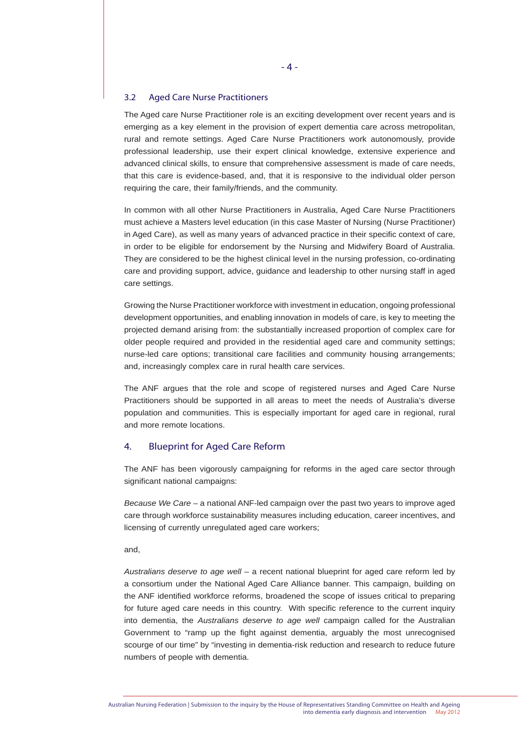#### 3.2 Aged Care Nurse Practitioners

The Aged care Nurse Practitioner role is an exciting development over recent years and is emerging as a key element in the provision of expert dementia care across metropolitan, rural and remote settings. Aged Care Nurse Practitioners work autonomously, provide professional leadership, use their expert clinical knowledge, extensive experience and advanced clinical skills, to ensure that comprehensive assessment is made of care needs, that this care is evidence-based, and, that it is responsive to the individual older person requiring the care, their family/friends, and the community.

In common with all other Nurse Practitioners in Australia, Aged Care Nurse Practitioners must achieve a Masters level education (in this case Master of Nursing (Nurse Practitioner) in Aged Care), as well as many years of advanced practice in their specific context of care, in order to be eligible for endorsement by the Nursing and Midwifery Board of Australia. They are considered to be the highest clinical level in the nursing profession, co-ordinating care and providing support, advice, guidance and leadership to other nursing staff in aged care settings.

Growing the Nurse Practitioner workforce with investment in education, ongoing professional development opportunities, and enabling innovation in models of care, is key to meeting the projected demand arising from: the substantially increased proportion of complex care for older people required and provided in the residential aged care and community settings; nurse-led care options; transitional care facilities and community housing arrangements; and, increasingly complex care in rural health care services.

The ANF argues that the role and scope of registered nurses and Aged Care Nurse Practitioners should be supported in all areas to meet the needs of Australia's diverse population and communities. This is especially important for aged care in regional, rural and more remote locations.

#### 4. Blueprint for Aged Care Reform

The ANF has been vigorously campaigning for reforms in the aged care sector through significant national campaigns:

*Because We Care* – a national ANF-led campaign over the past two years to improve aged care through workforce sustainability measures including education, career incentives, and licensing of currently unregulated aged care workers;

#### and,

*Australians deserve to age well* – a recent national blueprint for aged care reform led by a consortium under the National Aged Care Alliance banner. This campaign, building on the ANF identified workforce reforms, broadened the scope of issues critical to preparing for future aged care needs in this country. With specific reference to the current inquiry into dementia, the *Australians deserve to age well* campaign called for the Australian Government to "ramp up the fight against dementia, arguably the most unrecognised scourge of our time" by "investing in dementia-risk reduction and research to reduce future numbers of people with dementia.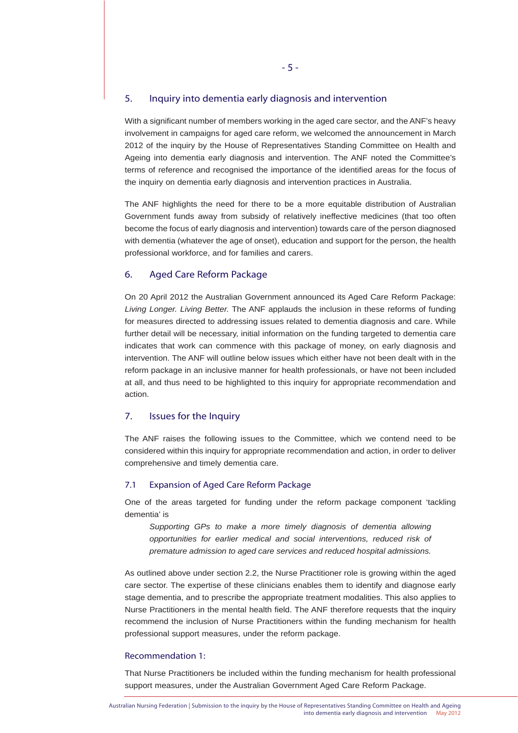## 5. Inquiry into dementia early diagnosis and intervention

With a significant number of members working in the aged care sector, and the ANF's heavy involvement in campaigns for aged care reform, we welcomed the announcement in March 2012 of the inquiry by the House of Representatives Standing Committee on Health and Ageing into dementia early diagnosis and intervention. The ANF noted the Committee's terms of reference and recognised the importance of the identified areas for the focus of the inquiry on dementia early diagnosis and intervention practices in Australia.

The ANF highlights the need for there to be a more equitable distribution of Australian Government funds away from subsidy of relatively ineffective medicines (that too often become the focus of early diagnosis and intervention) towards care of the person diagnosed with dementia (whatever the age of onset), education and support for the person, the health professional workforce, and for families and carers.

# 6. Aged Care Reform Package

On 20 April 2012 the Australian Government announced its Aged Care Reform Package: *Living Longer. Living Better.* The ANF applauds the inclusion in these reforms of funding for measures directed to addressing issues related to dementia diagnosis and care. While further detail will be necessary, initial information on the funding targeted to dementia care indicates that work can commence with this package of money, on early diagnosis and intervention. The ANF will outline below issues which either have not been dealt with in the reform package in an inclusive manner for health professionals, or have not been included at all, and thus need to be highlighted to this inquiry for appropriate recommendation and action.

# 7. Issues for the Inquiry

The ANF raises the following issues to the Committee, which we contend need to be considered within this inquiry for appropriate recommendation and action, in order to deliver comprehensive and timely dementia care.

#### 7.1 Expansion of Aged Care Reform Package

One of the areas targeted for funding under the reform package component 'tackling dementia' is

*Supporting GPs to make a more timely diagnosis of dementia allowing opportunities for earlier medical and social interventions, reduced risk of premature admission to aged care services and reduced hospital admissions.* 

As outlined above under section 2.2, the Nurse Practitioner role is growing within the aged care sector. The expertise of these clinicians enables them to identify and diagnose early stage dementia, and to prescribe the appropriate treatment modalities. This also applies to Nurse Practitioners in the mental health field. The ANF therefore requests that the inquiry recommend the inclusion of Nurse Practitioners within the funding mechanism for health professional support measures, under the reform package.

#### Recommendation 1:

That Nurse Practitioners be included within the funding mechanism for health professional support measures, under the Australian Government Aged Care Reform Package.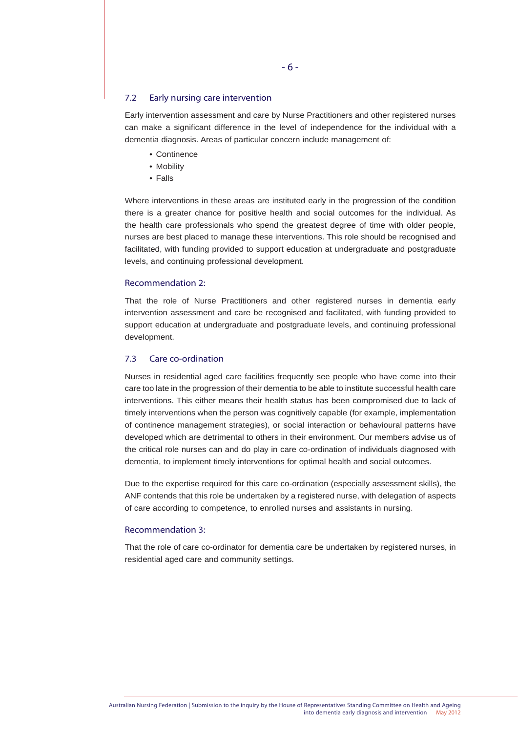#### 7.2 Early nursing care intervention

Early intervention assessment and care by Nurse Practitioners and other registered nurses can make a significant difference in the level of independence for the individual with a dementia diagnosis. Areas of particular concern include management of:

- Continence
- Mobility
- Falls

Where interventions in these areas are instituted early in the progression of the condition there is a greater chance for positive health and social outcomes for the individual. As the health care professionals who spend the greatest degree of time with older people, nurses are best placed to manage these interventions. This role should be recognised and facilitated, with funding provided to support education at undergraduate and postgraduate levels, and continuing professional development.

#### Recommendation 2:

That the role of Nurse Practitioners and other registered nurses in dementia early intervention assessment and care be recognised and facilitated, with funding provided to support education at undergraduate and postgraduate levels, and continuing professional development.

#### 7.3 Care co-ordination

Nurses in residential aged care facilities frequently see people who have come into their care too late in the progression of their dementia to be able to institute successful health care interventions. This either means their health status has been compromised due to lack of timely interventions when the person was cognitively capable (for example, implementation of continence management strategies), or social interaction or behavioural patterns have developed which are detrimental to others in their environment. Our members advise us of the critical role nurses can and do play in care co-ordination of individuals diagnosed with dementia, to implement timely interventions for optimal health and social outcomes.

Due to the expertise required for this care co-ordination (especially assessment skills), the ANF contends that this role be undertaken by a registered nurse, with delegation of aspects of care according to competence, to enrolled nurses and assistants in nursing.

#### Recommendation 3:

That the role of care co-ordinator for dementia care be undertaken by registered nurses, in residential aged care and community settings.

- 6 -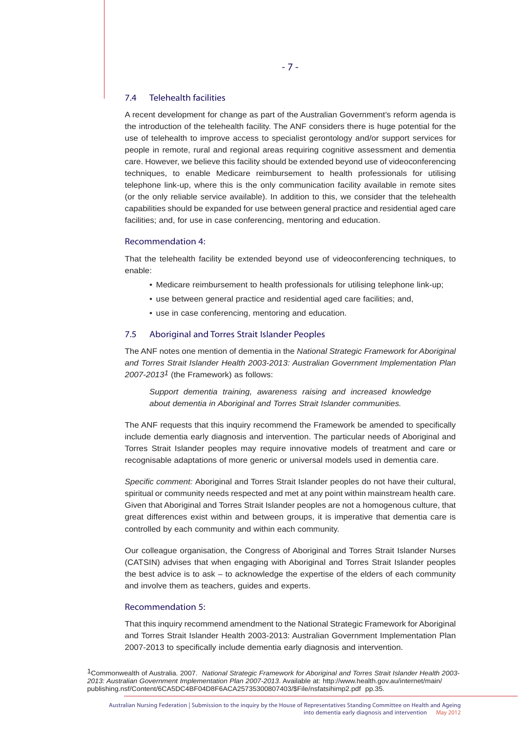#### 7.4 Telehealth facilities

A recent development for change as part of the Australian Government's reform agenda is the introduction of the telehealth facility. The ANF considers there is huge potential for the use of telehealth to improve access to specialist gerontology and/or support services for people in remote, rural and regional areas requiring cognitive assessment and dementia care. However, we believe this facility should be extended beyond use of videoconferencing techniques, to enable Medicare reimbursement to health professionals for utilising telephone link-up, where this is the only communication facility available in remote sites (or the only reliable service available). In addition to this, we consider that the telehealth capabilities should be expanded for use between general practice and residential aged care facilities; and, for use in case conferencing, mentoring and education.

#### Recommendation 4:

That the telehealth facility be extended beyond use of videoconferencing techniques, to enable:

- Medicare reimbursement to health professionals for utilising telephone link-up;
- use between general practice and residential aged care facilities; and,
- use in case conferencing, mentoring and education.

#### 7.5 Aboriginal and Torres Strait Islander Peoples

The ANF notes one mention of dementia in the *National Strategic Framework for Aboriginal and Torres Strait Islander Health 2003-2013: Australian Government Implementation Plan 2007-20131* (the Framework) as follows:

*Support dementia training, awareness raising and increased knowledge about dementia in Aboriginal and Torres Strait Islander communities.*

The ANF requests that this inquiry recommend the Framework be amended to specifically include dementia early diagnosis and intervention. The particular needs of Aboriginal and Torres Strait Islander peoples may require innovative models of treatment and care or recognisable adaptations of more generic or universal models used in dementia care.

*Specific comment:* Aboriginal and Torres Strait Islander peoples do not have their cultural, spiritual or community needs respected and met at any point within mainstream health care. Given that Aboriginal and Torres Strait Islander peoples are not a homogenous culture, that great differences exist within and between groups, it is imperative that dementia care is controlled by each community and within each community.

Our colleague organisation, the Congress of Aboriginal and Torres Strait Islander Nurses (CATSIN) advises that when engaging with Aboriginal and Torres Strait Islander peoples the best advice is to ask – to acknowledge the expertise of the elders of each community and involve them as teachers, guides and experts.

# Recommendation 5:

That this inquiry recommend amendment to the National Strategic Framework for Aboriginal and Torres Strait Islander Health 2003-2013: Australian Government Implementation Plan 2007-2013 to specifically include dementia early diagnosis and intervention.

1Commonwealth of Australia. 2007. *National Strategic Framework for Aboriginal and Torres Strait Islander Health 2003- 2013: Australian Government Implementation Plan 2007-2013*. Available at: http://www.health.gov.au/internet/main/ publishing.nsf/Content/6CA5DC4BF04D8F6ACA25735300807403/\$File/nsfatsihimp2.pdf pp.35.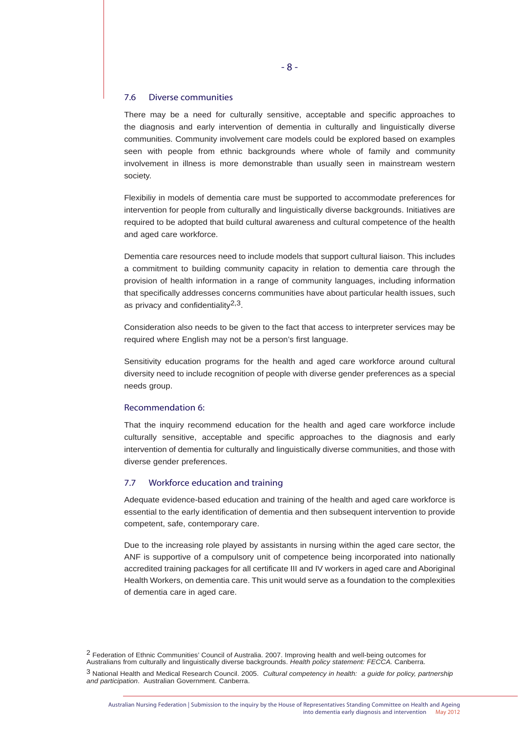#### 7.6 Diverse communities

There may be a need for culturally sensitive, acceptable and specific approaches to the diagnosis and early intervention of dementia in culturally and linguistically diverse communities. Community involvement care models could be explored based on examples seen with people from ethnic backgrounds where whole of family and community involvement in illness is more demonstrable than usually seen in mainstream western society.

Flexibiliy in models of dementia care must be supported to accommodate preferences for intervention for people from culturally and linguistically diverse backgrounds. Initiatives are required to be adopted that build cultural awareness and cultural competence of the health and aged care workforce.

Dementia care resources need to include models that support cultural liaison. This includes a commitment to building community capacity in relation to dementia care through the provision of health information in a range of community languages, including information that specifically addresses concerns communities have about particular health issues, such as privacy and confidentiality $2,3$ .

Consideration also needs to be given to the fact that access to interpreter services may be required where English may not be a person's first language.

Sensitivity education programs for the health and aged care workforce around cultural diversity need to include recognition of people with diverse gender preferences as a special needs group.

#### Recommendation 6:

That the inquiry recommend education for the health and aged care workforce include culturally sensitive, acceptable and specific approaches to the diagnosis and early intervention of dementia for culturally and linguistically diverse communities, and those with diverse gender preferences.

## 7.7 Workforce education and training

Adequate evidence-based education and training of the health and aged care workforce is essential to the early identification of dementia and then subsequent intervention to provide competent, safe, contemporary care.

Due to the increasing role played by assistants in nursing within the aged care sector, the ANF is supportive of a compulsory unit of competence being incorporated into nationally accredited training packages for all certificate III and IV workers in aged care and Aboriginal Health Workers, on dementia care. This unit would serve as a foundation to the complexities of dementia care in aged care.

<sup>2</sup> Federation of Ethnic Communities' Council of Australia. 2007. Improving health and well-being outcomes for Australians from culturally and linguistically diverse backgrounds. *Health policy statement: FECCA.* Canberra.

<sup>3</sup> National Health and Medical Research Council. 2005. *Cultural competency in health: a guide for policy, partnership and participation*. Australian Government. Canberra.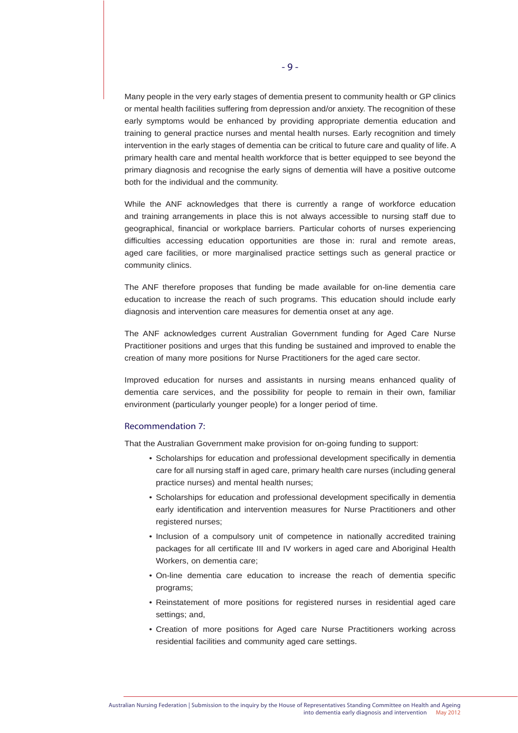Many people in the very early stages of dementia present to community health or GP clinics or mental health facilities suffering from depression and/or anxiety. The recognition of these early symptoms would be enhanced by providing appropriate dementia education and training to general practice nurses and mental health nurses. Early recognition and timely intervention in the early stages of dementia can be critical to future care and quality of life. A primary health care and mental health workforce that is better equipped to see beyond the primary diagnosis and recognise the early signs of dementia will have a positive outcome both for the individual and the community.

While the ANF acknowledges that there is currently a range of workforce education and training arrangements in place this is not always accessible to nursing staff due to geographical, financial or workplace barriers. Particular cohorts of nurses experiencing difficulties accessing education opportunities are those in: rural and remote areas, aged care facilities, or more marginalised practice settings such as general practice or community clinics.

The ANF therefore proposes that funding be made available for on-line dementia care education to increase the reach of such programs. This education should include early diagnosis and intervention care measures for dementia onset at any age.

The ANF acknowledges current Australian Government funding for Aged Care Nurse Practitioner positions and urges that this funding be sustained and improved to enable the creation of many more positions for Nurse Practitioners for the aged care sector.

Improved education for nurses and assistants in nursing means enhanced quality of dementia care services, and the possibility for people to remain in their own, familiar environment (particularly younger people) for a longer period of time.

#### Recommendation 7:

That the Australian Government make provision for on-going funding to support:

- Scholarships for education and professional development specifically in dementia care for all nursing staff in aged care, primary health care nurses (including general practice nurses) and mental health nurses;
- Scholarships for education and professional development specifically in dementia early identification and intervention measures for Nurse Practitioners and other registered nurses;
- Inclusion of a compulsory unit of competence in nationally accredited training packages for all certificate III and IV workers in aged care and Aboriginal Health Workers, on dementia care;
- On-line dementia care education to increase the reach of dementia specific programs;
- Reinstatement of more positions for registered nurses in residential aged care settings; and,
- Creation of more positions for Aged care Nurse Practitioners working across residential facilities and community aged care settings.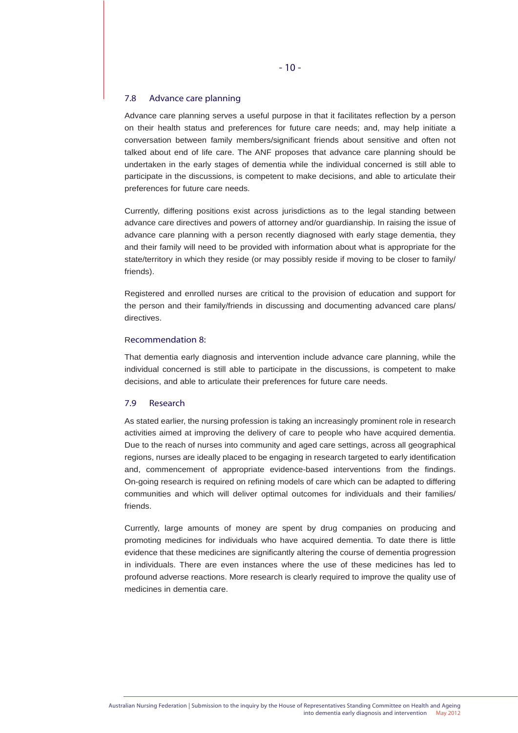#### 7.8 Advance care planning

Advance care planning serves a useful purpose in that it facilitates reflection by a person on their health status and preferences for future care needs; and, may help initiate a conversation between family members/significant friends about sensitive and often not talked about end of life care. The ANF proposes that advance care planning should be undertaken in the early stages of dementia while the individual concerned is still able to participate in the discussions, is competent to make decisions, and able to articulate their preferences for future care needs.

Currently, differing positions exist across jurisdictions as to the legal standing between advance care directives and powers of attorney and/or guardianship. In raising the issue of advance care planning with a person recently diagnosed with early stage dementia, they and their family will need to be provided with information about what is appropriate for the state/territory in which they reside (or may possibly reside if moving to be closer to family/ friends).

Registered and enrolled nurses are critical to the provision of education and support for the person and their family/friends in discussing and documenting advanced care plans/ directives.

#### Recommendation 8:

That dementia early diagnosis and intervention include advance care planning, while the individual concerned is still able to participate in the discussions, is competent to make decisions, and able to articulate their preferences for future care needs.

#### 7.9 Research

As stated earlier, the nursing profession is taking an increasingly prominent role in research activities aimed at improving the delivery of care to people who have acquired dementia. Due to the reach of nurses into community and aged care settings, across all geographical regions, nurses are ideally placed to be engaging in research targeted to early identification and, commencement of appropriate evidence-based interventions from the findings. On-going research is required on refining models of care which can be adapted to differing communities and which will deliver optimal outcomes for individuals and their families/ friends.

Currently, large amounts of money are spent by drug companies on producing and promoting medicines for individuals who have acquired dementia. To date there is little evidence that these medicines are significantly altering the course of dementia progression in individuals. There are even instances where the use of these medicines has led to profound adverse reactions. More research is clearly required to improve the quality use of medicines in dementia care.